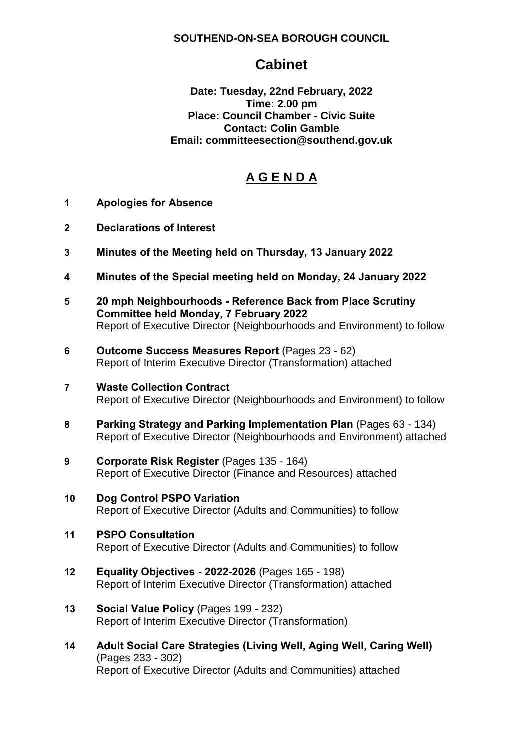## **SOUTHEND-ON-SEA BOROUGH COUNCIL**

# **Cabinet**

**Date: Tuesday, 22nd February, 2022 Time: 2.00 pm Place: Council Chamber - Civic Suite Contact: Colin Gamble Email: committeesection@southend.gov.uk** 

# **A G E N D A**

- **1 Apologies for Absence**
- **2 Declarations of Interest**
- **3 Minutes of the Meeting held on Thursday, 13 January 2022**
- **4 Minutes of the Special meeting held on Monday, 24 January 2022**
- **5 20 mph Neighbourhoods - Reference Back from Place Scrutiny Committee held Monday, 7 February 2022** Report of Executive Director (Neighbourhoods and Environment) to follow
- **6 Outcome Success Measures Report** (Pages 23 62) Report of Interim Executive Director (Transformation) attached
- **7 Waste Collection Contract** Report of Executive Director (Neighbourhoods and Environment) to follow
- **8 Parking Strategy and Parking Implementation Plan** (Pages 63 134) Report of Executive Director (Neighbourhoods and Environment) attached
- **9 Corporate Risk Register** (Pages 135 164) Report of Executive Director (Finance and Resources) attached
- **10 Dog Control PSPO Variation** Report of Executive Director (Adults and Communities) to follow
- **11 PSPO Consultation** Report of Executive Director (Adults and Communities) to follow
- **12 Equality Objectives - 2022-2026** (Pages 165 198) Report of Interim Executive Director (Transformation) attached
- **13 Social Value Policy** (Pages 199 232) Report of Interim Executive Director (Transformation)
- **14 Adult Social Care Strategies (Living Well, Aging Well, Caring Well)** (Pages 233 - 302) Report of Executive Director (Adults and Communities) attached